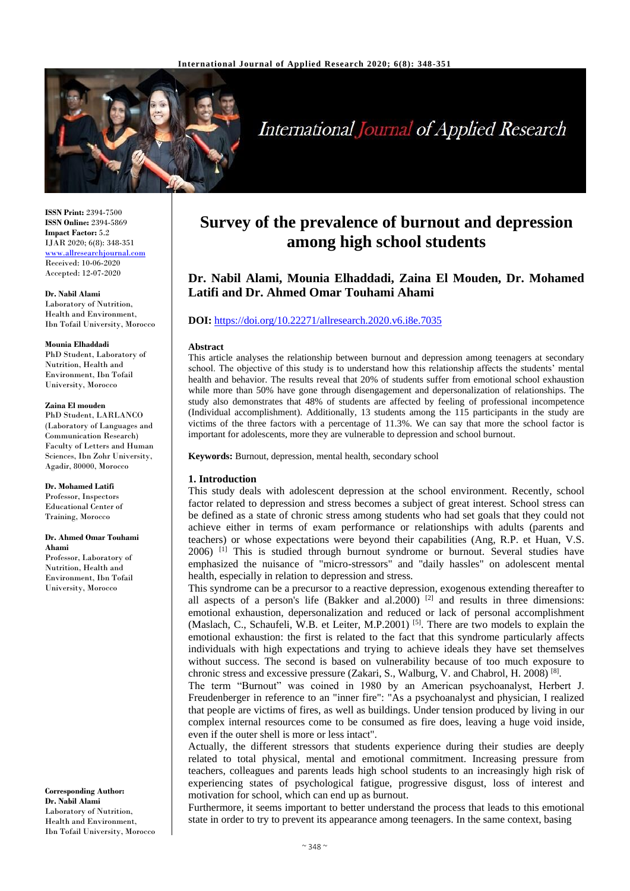

# **International Journal of Applied Research**

**ISSN Print:** 2394-7500 **ISSN Online:** 2394-5869 **Impact Factor:** 5.2 IJAR 2020; 6(8): 348-351 <www.allresearchjournal.com> Received: 10-06-2020 Accepted: 12-07-2020

#### **Dr. Nabil Alami**

Laboratory of Nutrition, Health and Environment, Ibn Tofail University, Morocco

#### **Mounia Elhaddadi**

PhD Student, Laboratory of Nutrition, Health and Environment, Ibn Tofail University, Morocco

#### **Zaina El mouden**

PhD Student, LARLANCO (Laboratory of Languages and Communication Research) Faculty of Letters and Human Sciences, Ibn Zohr University, Agadir, 80000, Morocco

#### **Dr. Mohamed Latifi**

Professor, Inspectors Educational Center of Training, Morocco

#### **Dr. Ahmed Omar Touhami Ahami**

Professor, Laboratory of Nutrition, Health and Environment, Ibn Tofail University, Morocco

**Corresponding Author: Dr. Nabil Alami** Laboratory of Nutrition, Health and Environment, Ibn Tofail University, Morocco

## **Survey of the prevalence of burnout and depression among high school students**

### **Dr. Nabil Alami, Mounia Elhaddadi, Zaina El Mouden, Dr. Mohamed Latifi and Dr. Ahmed Omar Touhami Ahami**

#### **DOI:** <https://doi.org/10.22271/allresearch.2020.v6.i8e.7035>

#### **Abstract**

This article analyses the relationship between burnout and depression among teenagers at secondary school. The objective of this study is to understand how this relationship affects the students' mental health and behavior. The results reveal that 20% of students suffer from emotional school exhaustion while more than 50% have gone through disengagement and depersonalization of relationships. The study also demonstrates that 48% of students are affected by feeling of professional incompetence (Individual accomplishment). Additionally, 13 students among the 115 participants in the study are victims of the three factors with a percentage of 11.3%. We can say that more the school factor is important for adolescents, more they are vulnerable to depression and school burnout.

**Keywords:** Burnout, depression, mental health, secondary school

#### **1. Introduction**

This study deals with adolescent depression at the school environment. Recently, school factor related to depression and stress becomes a subject of great interest. School stress can be defined as a state of chronic stress among students who had set goals that they could not achieve either in terms of exam performance or relationships with adults (parents and teachers) or whose expectations were beyond their capabilities (Ang, R.P. et Huan, V.S. 2006) [1] This is studied through burnout syndrome or burnout. Several studies have emphasized the nuisance of "micro-stressors" and "daily hassles" on adolescent mental health, especially in relation to depression and stress.

This syndrome can be a precursor to a reactive depression, exogenous extending thereafter to all aspects of a person's life (Bakker and al.  $2000$ )<sup>[2]</sup> and results in three dimensions: emotional exhaustion, depersonalization and reduced or lack of personal accomplishment (Maslach, C., Schaufeli, W.B. et Leiter, M.P.2001)<sup>[5]</sup>. There are two models to explain the emotional exhaustion: the first is related to the fact that this syndrome particularly affects individuals with high expectations and trying to achieve ideals they have set themselves without success. The second is based on vulnerability because of too much exposure to chronic stress and excessive pressure (Zakari, S., Walburg, V. and Chabrol, H. 2008)<sup>[8]</sup>.

The term "Burnout" was coined in 1980 by an American psychoanalyst, Herbert J. Freudenberger in reference to an "inner fire": "As a psychoanalyst and physician, I realized that people are victims of fires, as well as buildings. Under tension produced by living in our complex internal resources come to be consumed as fire does, leaving a huge void inside, even if the outer shell is more or less intact".

Actually, the different stressors that students experience during their studies are deeply related to total physical, mental and emotional commitment. Increasing pressure from teachers, colleagues and parents leads high school students to an increasingly high risk of experiencing states of psychological fatigue, progressive disgust, loss of interest and motivation for school, which can end up as burnout.

Furthermore, it seems important to better understand the process that leads to this emotional state in order to try to prevent its appearance among teenagers. In the same context, basing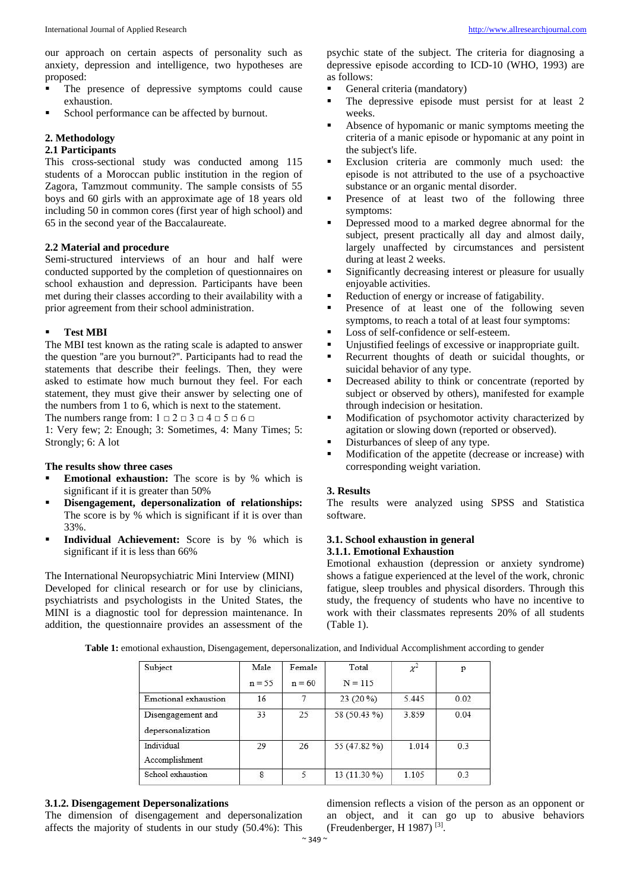our approach on certain aspects of personality such as anxiety, depression and intelligence, two hypotheses are proposed:

- The presence of depressive symptoms could cause exhaustion.
- School performance can be affected by burnout.

#### **2. Methodology**

#### **2.1 Participants**

This cross-sectional study was conducted among 115 students of a Moroccan public institution in the region of Zagora, Tamzmout community. The sample consists of 55 boys and 60 girls with an approximate age of 18 years old including 50 in common cores (first year of high school) and 65 in the second year of the Baccalaureate.

#### **2.2 Material and procedure**

Semi-structured interviews of an hour and half were conducted supported by the completion of questionnaires on school exhaustion and depression. Participants have been met during their classes according to their availability with a prior agreement from their school administration.

#### **Test MBI**

The MBI test known as the rating scale is adapted to answer the question ''are you burnout?''. Participants had to read the statements that describe their feelings. Then, they were asked to estimate how much burnout they feel. For each statement, they must give their answer by selecting one of the numbers from 1 to 6, which is next to the statement.

The numbers range from:  $1 \square 2 \square 3 \square 4 \square 5 \square 6 \square$ 

1: Very few; 2: Enough; 3: Sometimes, 4: Many Times; 5: Strongly; 6: A lot

#### **The results show three cases**

- **Emotional exhaustion:** The score is by % which is significant if it is greater than 50%
- **Disengagement, depersonalization of relationships:** The score is by % which is significant if it is over than 33%.
- **Individual Achievement:** Score is by % which is significant if it is less than 66%

The International Neuropsychiatric Mini Interview (MINI) Developed for clinical research or for use by clinicians, psychiatrists and psychologists in the United States, the MINI is a diagnostic tool for depression maintenance. In addition, the questionnaire provides an assessment of the

psychic state of the subject. The criteria for diagnosing a depressive episode according to ICD-10 (WHO, 1993) are as follows:

- General criteria (mandatory)
- The depressive episode must persist for at least 2 weeks.
- Absence of hypomanic or manic symptoms meeting the criteria of a manic episode or hypomanic at any point in the subject's life.
- Exclusion criteria are commonly much used: the episode is not attributed to the use of a psychoactive substance or an organic mental disorder.
- Presence of at least two of the following three symptoms:
- Depressed mood to a marked degree abnormal for the subject, present practically all day and almost daily, largely unaffected by circumstances and persistent during at least 2 weeks.
- Significantly decreasing interest or pleasure for usually enjoyable activities.
- Reduction of energy or increase of fatigability.
- Presence of at least one of the following seven symptoms, to reach a total of at least four symptoms:
- Loss of self-confidence or self-esteem.
- Unjustified feelings of excessive or inappropriate guilt.
- Recurrent thoughts of death or suicidal thoughts, or suicidal behavior of any type.
- **•** Decreased ability to think or concentrate (reported by subject or observed by others), manifested for example through indecision or hesitation.
- Modification of psychomotor activity characterized by agitation or slowing down (reported or observed).
- Disturbances of sleep of any type.
- **Modification of the appetite (decrease or increase) with** corresponding weight variation.

#### **3. Results**

The results were analyzed using SPSS and Statistica software.

#### **3.1. School exhaustion in general 3.1.1. Emotional Exhaustion**

Emotional exhaustion (depression or anxiety syndrome) shows a fatigue experienced at the level of the work, chronic fatigue, sleep troubles and physical disorders. Through this study, the frequency of students who have no incentive to work with their classmates represents 20% of all students (Table 1).

**Table 1:** emotional exhaustion, Disengagement, depersonalization, and Individual Accomplishment according to gender

| Subject                                | Male     | Female   | Total        | $\chi^2$ | p              |
|----------------------------------------|----------|----------|--------------|----------|----------------|
|                                        | $n = 55$ | $n = 60$ | $N = 115$    |          |                |
| Emotional exhaustion                   | 16       |          | $23(20\%)$   | 5.445    | 0.02           |
| Disengagement and<br>depersonalization | 33       | 25       | 58 (50.43 %) | 3.859    | 0.04           |
| Individual<br>Accomplishment           | 29       | 26       | 55 (47.82 %) | 1.014    | 0 <sub>3</sub> |
| School exhaustion                      | 8        |          | 13 (11.30 %) | 1.105    | 0.3            |

#### **3.1.2. Disengagement Depersonalizations**

The dimension of disengagement and depersonalization affects the majority of students in our study (50.4%): This

dimension reflects a vision of the person as an opponent or an object, and it can go up to abusive behaviors (Freudenberger, H 1987) [3] .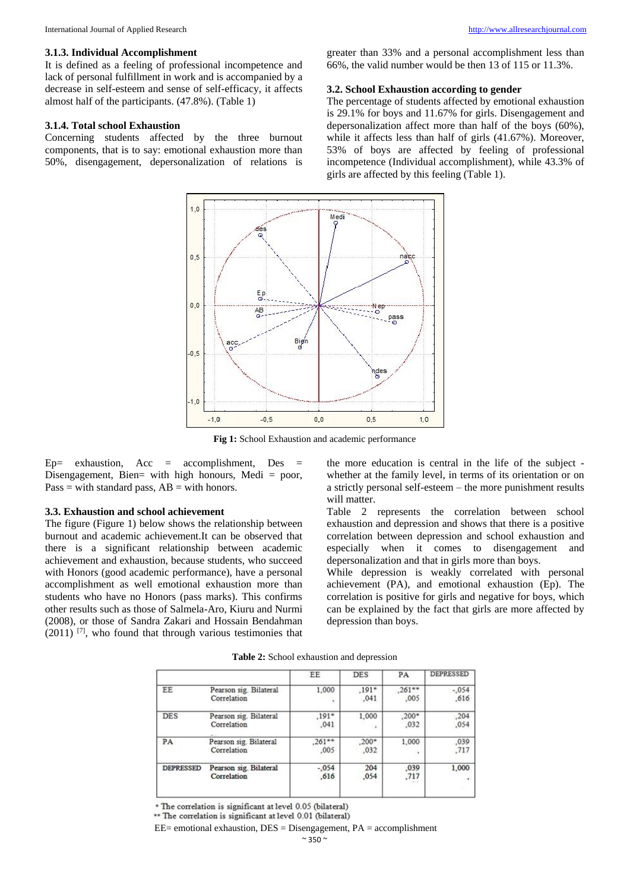It is defined as a feeling of professional incompetence and lack of personal fulfillment in work and is accompanied by a decrease in self-esteem and sense of self-efficacy, it affects almost half of the participants. (47.8%). (Table 1)

#### **3.1.4. Total school Exhaustion**

Concerning students affected by the three burnout components, that is to say: emotional exhaustion more than 50%, disengagement, depersonalization of relations is

greater than 33% and a personal accomplishment less than 66%, the valid number would be then 13 of 115 or 11.3%.

#### **3.2. School Exhaustion according to gender**

The percentage of students affected by emotional exhaustion is 29.1% for boys and 11.67% for girls. Disengagement and depersonalization affect more than half of the boys (60%), while it affects less than half of girls (41.67%). Moreover, 53% of boys are affected by feeling of professional incompetence (Individual accomplishment), while 43.3% of girls are affected by this feeling (Table 1).



**Fig 1:** School Exhaustion and academic performance

 $Ep=$  exhaustion, Acc = accomplishment, Des = Disengagement, Bien= with high honours, Medi = poor,  $Pass = with standard pass, AB = with honors.$ 

#### **3.3. Exhaustion and school achievement**

The figure (Figure 1) below shows the relationship between burnout and academic achievement.It can be observed that there is a significant relationship between academic achievement and exhaustion, because students, who succeed with Honors (good academic performance), have a personal accomplishment as well emotional exhaustion more than students who have no Honors (pass marks). This confirms other results such as those of Salmela-Aro, Kiuru and Nurmi (2008), or those of Sandra Zakari and Hossain Bendahman  $(2011)$  [7], who found that through various testimonies that the more education is central in the life of the subject whether at the family level, in terms of its orientation or on a strictly personal self-esteem – the more punishment results will matter.

Table 2 represents the correlation between school exhaustion and depression and shows that there is a positive correlation between depression and school exhaustion and especially when it comes to disengagement and depersonalization and that in girls more than boys.

While depression is weakly correlated with personal achievement (PA), and emotional exhaustion (Ep). The correlation is positive for girls and negative for boys, which can be explained by the fact that girls are more affected by depression than boys.

|                  |                                       | EE               | <b>DES</b>      | PA               | <b>DEPRESSED</b> |
|------------------|---------------------------------------|------------------|-----------------|------------------|------------------|
| EE               | Pearson sig. Bilateral<br>Correlation | 1,000<br>×       | $,191*$<br>,041 | $,261**$<br>,005 | $-.054$<br>,616  |
| <b>DES</b>       | Pearson sig. Bilateral<br>Correlation | $.191*$<br>.041  | 1,000<br>٠      | $,200*$<br>.032  | .204<br>.054     |
| PA               | Pearson sig. Bilateral<br>Correlation | $,261**$<br>,005 | $,200*$<br>,032 | 1,000            | .039<br>.717     |
| <b>DEPRESSED</b> | Pearson sig. Bilateral<br>Correlation | $-.054$<br>.616  | 204<br>,054     | .039<br>,717     | 1,000            |

**Table 2:** School exhaustion and depression

\* The correlation is significant at level 0.05 (bilateral)

\*\* The correlation is significant at level 0.01 (bilateral)  $EE =$  emotional exhaustion,  $DES =$  Disengagement,  $PA =$  accomplishment